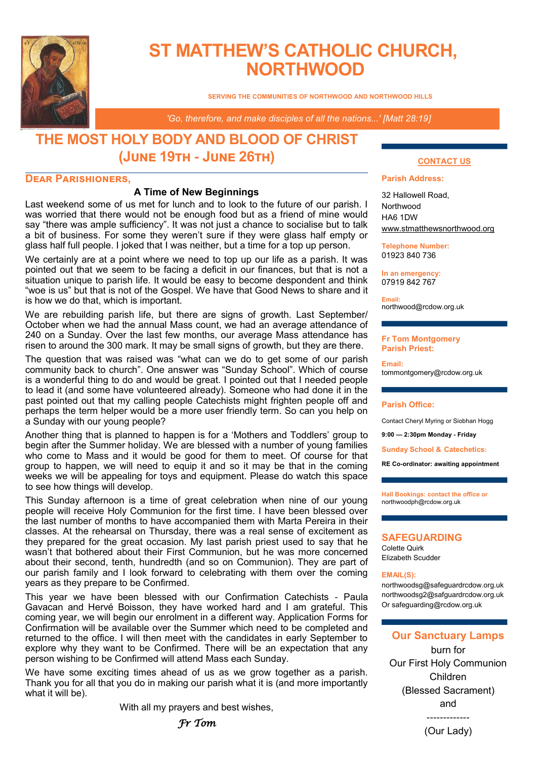

# **ST MATTHEW'S CATHOLIC CHURCH, NORTHWOOD**

**SERVING THE COMMUNITIES OF NORTHWOOD AND NORTHWOOD HILLS**

*'Go, therefore, and make disciples of all the nations...' [Matt 28:19]*

# **THE MOST HOLY BODY AND BLOOD OF CHRIST (June 19th - June 26th)**

#### **Dear Parishioners,**

#### **A Time of New Beginnings**

Last weekend some of us met for lunch and to look to the future of our parish. I was worried that there would not be enough food but as a friend of mine would say "there was ample sufficiency". It was not just a chance to socialise but to talk a bit of business. For some they weren't sure if they were glass half empty or glass half full people. I joked that I was neither, but a time for a top up person.

We certainly are at a point where we need to top up our life as a parish. It was pointed out that we seem to be facing a deficit in our finances, but that is not a situation unique to parish life. It would be easy to become despondent and think "woe is us" but that is not of the Gospel. We have that Good News to share and it is how we do that, which is important.

We are rebuilding parish life, but there are signs of growth. Last September/ October when we had the annual Mass count, we had an average attendance of 240 on a Sunday. Over the last few months, our average Mass attendance has risen to around the 300 mark. It may be small signs of growth, but they are there.

The question that was raised was "what can we do to get some of our parish community back to church". One answer was "Sunday School". Which of course is a wonderful thing to do and would be great. I pointed out that I needed people to lead it (and some have volunteered already). Someone who had done it in the past pointed out that my calling people Catechists might frighten people off and perhaps the term helper would be a more user friendly term. So can you help on a Sunday with our young people?

Another thing that is planned to happen is for a 'Mothers and Toddlers' group to begin after the Summer holiday. We are blessed with a number of young families who come to Mass and it would be good for them to meet. Of course for that group to happen, we will need to equip it and so it may be that in the coming weeks we will be appealing for toys and equipment. Please do watch this space to see how things will develop.

This Sunday afternoon is a time of great celebration when nine of our young people will receive Holy Communion for the first time. I have been blessed over the last number of months to have accompanied them with Marta Pereira in their classes. At the rehearsal on Thursday, there was a real sense of excitement as they prepared for the great occasion. My last parish priest used to say that he wasn't that bothered about their First Communion, but he was more concerned about their second, tenth, hundredth (and so on Communion). They are part of our parish family and I look forward to celebrating with them over the coming years as they prepare to be Confirmed.

This year we have been blessed with our Confirmation Catechists - Paula Gavacan and Hervé Boisson, they have worked hard and I am grateful. This coming year, we will begin our enrolment in a different way. Application Forms for Confirmation will be available over the Summer which need to be completed and returned to the office. I will then meet with the candidates in early September to explore why they want to be Confirmed. There will be an expectation that any person wishing to be Confirmed will attend Mass each Sunday.

We have some exciting times ahead of us as we grow together as a parish. Thank you for all that you do in making our parish what it is (and more importantly what it will be).

With all my prayers and best wishes,

*Fr Tom* 

#### **CONTACT US**

#### **Parish Address:**

32 Hallowell Road, Northwood HA6 1DW www.stmatthewsnorthwood.org

**Telephone Number:** 01923 840 736

**In an emergency:** 07919 842 767

**Email:** northwood@rcdow.org.uk

#### **Fr Tom Montgomery Parish Priest:**

**Email:** tommontgomery@rcdow.org.uk

#### **Parish Office:**

Contact Cheryl Myring or Siobhan Hogg

**9:00 — 2:30pm Monday - Friday**

**Sunday School & Catechetics:** 

**RE Co-ordinator: awaiting appointment**

**Hall Bookings: contact the office or** northwoodph@rcdow.org.uk

#### **SAFEGUARDING**

Colette Quirk Elizabeth Scudder

#### **EMAIL(S):**

northwoodsg@safeguardrcdow.org.uk northwoodsg2@safguardrcdow.org.uk Or safeguarding@rcdow.org.uk

#### **Our Sanctuary Lamps**

burn for Our First Holy Communion Children (Blessed Sacrament) and -------------

(Our Lady)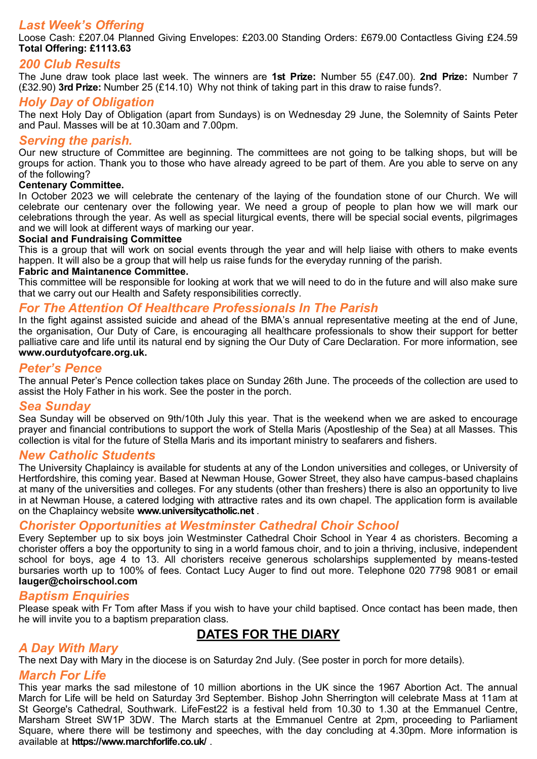## *Last Week's Offering*

Loose Cash: £207.04 Planned Giving Envelopes: £203.00 Standing Orders: £679.00 Contactless Giving £24.59 **Total Offering: £1113.63**

## *200 Club Results*

The June draw took place last week. The winners are **1st Prize:** Number 55 (£47.00). **2nd Prize:** Number 7 (£32.90) **3rd Prize:** Number 25 (£14.10) Why not think of taking part in this draw to raise funds?.

## *Holy Day of Obligation*

The next Holy Day of Obligation (apart from Sundays) is on Wednesday 29 June, the Solemnity of Saints Peter and Paul. Masses will be at 10.30am and 7.00pm.

### *Serving the parish.*

Our new structure of Committee are beginning. The committees are not going to be talking shops, but will be groups for action. Thank you to those who have already agreed to be part of them. Are you able to serve on any of the following?

#### **Centenary Committee.**

In October 2023 we will celebrate the centenary of the laying of the foundation stone of our Church. We will celebrate our centenary over the following year. We need a group of people to plan how we will mark our celebrations through the year. As well as special liturgical events, there will be special social events, pilgrimages and we will look at different ways of marking our year.

#### **Social and Fundraising Committee**

This is a group that will work on social events through the year and will help liaise with others to make events happen. It will also be a group that will help us raise funds for the everyday running of the parish.

#### **Fabric and Maintanence Committee.**

This committee will be responsible for looking at work that we will need to do in the future and will also make sure that we carry out our Health and Safety responsibilities correctly.

## *For The Attention Of Healthcare Professionals In The Parish*

In the fight against assisted suicide and ahead of the BMA's annual representative meeting at the end of June, the organisation, Our Duty of Care, is encouraging all healthcare professionals to show their support for better palliative care and life until its natural end by signing the Our Duty of Care Declaration. For more information, see **www.ourdutyofcare.org.uk.**

### *Peter's Pence*

The annual Peter's Pence collection takes place on Sunday 26th June. The proceeds of the collection are used to assist the Holy Father in his work. See the poster in the porch.

#### *Sea Sunday*

Sea Sunday will be observed on 9th/10th July this year. That is the weekend when we are asked to encourage prayer and financial contributions to support the work of Stella Maris (Apostleship of the Sea) at all Masses. This collection is vital for the future of Stella Maris and its important ministry to seafarers and fishers.

#### *New Catholic Students*

The University Chaplaincy is available for students at any of the London universities and colleges, or University of Hertfordshire, this coming year. Based at Newman House, Gower Street, they also have campus-based chaplains at many of the universities and colleges. For any students (other than freshers) there is also an opportunity to live in at Newman House, a catered lodging with attractive rates and its own chapel. The application form is available on the Chaplaincy website **www.universitycatholic.net** .

## *Chorister Opportunities at Westminster Cathedral Choir School*

Every September up to six boys join Westminster Cathedral Choir School in Year 4 as choristers. Becoming a chorister offers a boy the opportunity to sing in a world famous choir, and to join a thriving, inclusive, independent school for boys, age 4 to 13. All choristers receive generous scholarships supplemented by means-tested bursaries worth up to 100% of fees. Contact Lucy Auger to find out more. Telephone 020 7798 9081 or email **lauger@choirschool.com** 

#### *Baptism Enquiries*

Please speak with Fr Tom after Mass if you wish to have your child baptised. Once contact has been made, then he will invite you to a baptism preparation class.

## **DATES FOR THE DIARY**

## *A Day With Mary*

The next Day with Mary in the diocese is on Saturday 2nd July. (See poster in porch for more details).

#### *March For Life*

This year marks the sad milestone of 10 million abortions in the UK since the 1967 Abortion Act. The annual March for Life will be held on Saturday 3rd September. Bishop John Sherrington will celebrate Mass at 11am at St George's Cathedral, Southwark. LifeFest22 is a festival held from 10.30 to 1.30 at the Emmanuel Centre, Marsham Street SW1P 3DW. The March starts at the Emmanuel Centre at 2pm, proceeding to Parliament Square, where there will be testimony and speeches, with the day concluding at 4.30pm. More information is available at **https://www.marchforlife.co.uk/** .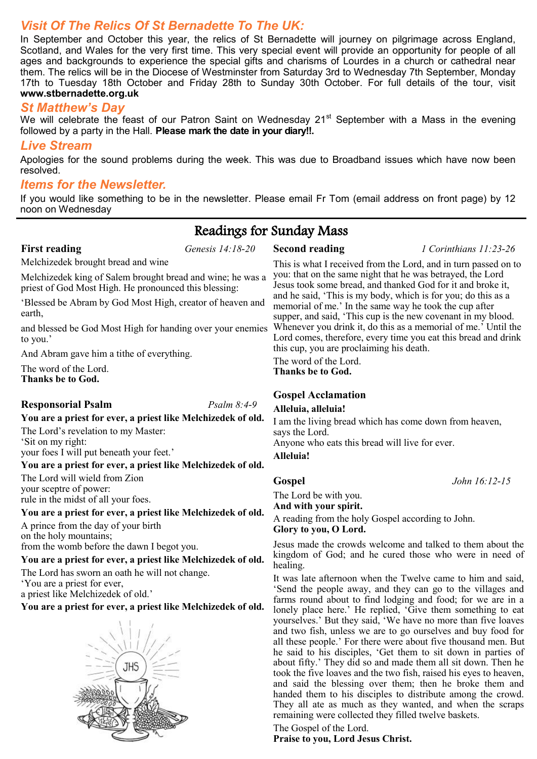## *Visit Of The Relics Of St Bernadette To The UK:*

In September and October this year, the relics of St Bernadette will journey on pilgrimage across England, Scotland, and Wales for the very first time. This very special event will provide an opportunity for people of all ages and backgrounds to experience the special gifts and charisms of Lourdes in a church or cathedral near them. The relics will be in the Diocese of Westminster from Saturday 3rd to Wednesday 7th September, Monday 17th to Tuesday 18th October and Friday 28th to Sunday 30th October. For full details of the tour, visit **www.stbernadette.org.uk** 

#### *St Matthew's Day*

We will celebrate the feast of our Patron Saint on Wednesday 21<sup>st</sup> September with a Mass in the evening followed by a party in the Hall. **Please mark the date in your diary!!.**

#### *Live Stream*

Apologies for the sound problems during the week. This was due to Broadband issues which have now been resolved.

#### *Items for the Newsletter.*

If you would like something to be in the newsletter. Please email Fr Tom (email address on front page) by 12 noon on Wednesday

| Readings for Sunday Mass                                                                                                                                                                                                                        |                  |                                                                                                                                                                                                                                                                                                                                                                                                                                                                 |                                                             |                                                                                                                                                   |  |                                                                          |  |
|-------------------------------------------------------------------------------------------------------------------------------------------------------------------------------------------------------------------------------------------------|------------------|-----------------------------------------------------------------------------------------------------------------------------------------------------------------------------------------------------------------------------------------------------------------------------------------------------------------------------------------------------------------------------------------------------------------------------------------------------------------|-------------------------------------------------------------|---------------------------------------------------------------------------------------------------------------------------------------------------|--|--------------------------------------------------------------------------|--|
| <b>First reading</b>                                                                                                                                                                                                                            | Genesis 14:18-20 | <b>Second reading</b>                                                                                                                                                                                                                                                                                                                                                                                                                                           | 1 Corinthians 11:23-26                                      |                                                                                                                                                   |  |                                                                          |  |
| Melchizedek brought bread and wine                                                                                                                                                                                                              |                  | This is what I received from the Lord, and in turn passed on to                                                                                                                                                                                                                                                                                                                                                                                                 |                                                             |                                                                                                                                                   |  |                                                                          |  |
| Melchizedek king of Salem brought bread and wine; he was a<br>priest of God Most High. He pronounced this blessing:                                                                                                                             |                  | you: that on the same night that he was betrayed, the Lord<br>Jesus took some bread, and thanked God for it and broke it,                                                                                                                                                                                                                                                                                                                                       |                                                             |                                                                                                                                                   |  |                                                                          |  |
| 'Blessed be Abram by God Most High, creator of heaven and<br>earth,<br>and blessed be God Most High for handing over your enemies<br>to you.'<br>And Abram gave him a tithe of everything.<br>The word of the Lord.<br><b>Thanks be to God.</b> |                  | and he said, 'This is my body, which is for you; do this as a<br>memorial of me.' In the same way he took the cup after<br>supper, and said, 'This cup is the new covenant in my blood.<br>Whenever you drink it, do this as a memorial of me.' Until the<br>Lord comes, therefore, every time you eat this bread and drink<br>this cup, you are proclaiming his death.<br>The word of the Lord.<br><b>Thanks be to God.</b>                                    |                                                             |                                                                                                                                                   |  |                                                                          |  |
|                                                                                                                                                                                                                                                 |                  |                                                                                                                                                                                                                                                                                                                                                                                                                                                                 |                                                             |                                                                                                                                                   |  | <b>Gospel Acclamation</b>                                                |  |
|                                                                                                                                                                                                                                                 |                  |                                                                                                                                                                                                                                                                                                                                                                                                                                                                 |                                                             | Psalm $8:4-9$<br><b>Responsorial Psalm</b><br>You are a priest for ever, a priest like Melchizedek of old.<br>The Lord's revelation to my Master: |  | Alleluia, alleluia!                                                      |  |
|                                                                                                                                                                                                                                                 |                  |                                                                                                                                                                                                                                                                                                                                                                                                                                                                 |                                                             |                                                                                                                                                   |  | I am the living bread which has come down from heaven,<br>says the Lord. |  |
| 'Sit on my right:<br>your foes I will put beneath your feet.'                                                                                                                                                                                   |                  | Anyone who eats this bread will live for ever.                                                                                                                                                                                                                                                                                                                                                                                                                  |                                                             |                                                                                                                                                   |  |                                                                          |  |
| You are a priest for ever, a priest like Melchizedek of old.                                                                                                                                                                                    |                  | Alleluia!                                                                                                                                                                                                                                                                                                                                                                                                                                                       |                                                             |                                                                                                                                                   |  |                                                                          |  |
| The Lord will wield from Zion                                                                                                                                                                                                                   |                  | Gospel                                                                                                                                                                                                                                                                                                                                                                                                                                                          | John 16:12-15                                               |                                                                                                                                                   |  |                                                                          |  |
| your sceptre of power:                                                                                                                                                                                                                          |                  |                                                                                                                                                                                                                                                                                                                                                                                                                                                                 |                                                             |                                                                                                                                                   |  |                                                                          |  |
| rule in the midst of all your foes.                                                                                                                                                                                                             |                  | The Lord be with you.<br>And with your spirit.                                                                                                                                                                                                                                                                                                                                                                                                                  |                                                             |                                                                                                                                                   |  |                                                                          |  |
| You are a priest for ever, a priest like Melchizedek of old.                                                                                                                                                                                    |                  | A reading from the holy Gospel according to John.<br>Glory to you, O Lord.                                                                                                                                                                                                                                                                                                                                                                                      |                                                             |                                                                                                                                                   |  |                                                                          |  |
| A prince from the day of your birth                                                                                                                                                                                                             |                  |                                                                                                                                                                                                                                                                                                                                                                                                                                                                 |                                                             |                                                                                                                                                   |  |                                                                          |  |
| on the holy mountains;                                                                                                                                                                                                                          |                  |                                                                                                                                                                                                                                                                                                                                                                                                                                                                 | Jesus made the crowds welcome and talked to them about the  |                                                                                                                                                   |  |                                                                          |  |
| from the womb before the dawn I begot you.<br>You are a priest for ever, a priest like Melchizedek of old.                                                                                                                                      |                  | kingdom of God; and he cured those who were in need of                                                                                                                                                                                                                                                                                                                                                                                                          |                                                             |                                                                                                                                                   |  |                                                                          |  |
| The Lord has sworn an oath he will not change.                                                                                                                                                                                                  |                  | healing.                                                                                                                                                                                                                                                                                                                                                                                                                                                        |                                                             |                                                                                                                                                   |  |                                                                          |  |
| 'You are a priest for ever,                                                                                                                                                                                                                     |                  |                                                                                                                                                                                                                                                                                                                                                                                                                                                                 | It was late afternoon when the Twelve came to him and said, |                                                                                                                                                   |  |                                                                          |  |
| a priest like Melchizedek of old.'                                                                                                                                                                                                              |                  |                                                                                                                                                                                                                                                                                                                                                                                                                                                                 | 'Send the people away, and they can go to the villages and  |                                                                                                                                                   |  |                                                                          |  |
| You are a priest for ever, a priest like Melchizedek of old.<br><b>THS</b>                                                                                                                                                                      |                  | farms round about to find lodging and food; for we are in a<br>lonely place here.' He replied, 'Give them something to eat<br>yourselves.' But they said, 'We have no more than five loaves<br>and two fish, unless we are to go ourselves and buy food for<br>all these people.' For there were about five thousand men. But<br>he said to his disciples, 'Get them to sit down in parties of<br>about fifty.' They did so and made them all sit down. Then he |                                                             |                                                                                                                                                   |  |                                                                          |  |

took the five loaves and the two fish, raised his eyes to heaven, and said the blessing over them; then he broke them and handed them to his disciples to distribute among the crowd. They all ate as much as they wanted, and when the scraps

remaining were collected they filled twelve baskets.

The Gospel of the Lord.

**Praise to you, Lord Jesus Christ.**